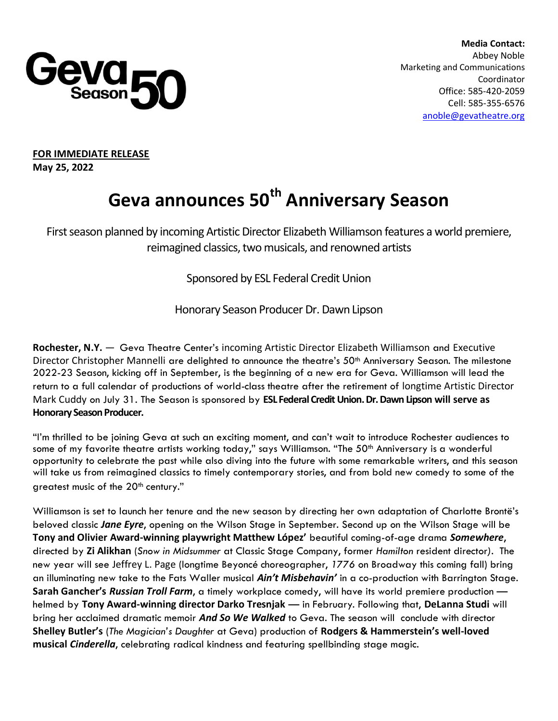

 **Media Contact:**  Abbey Noble Marketing and Communications Coordinator Office: 585-420-2059 Cell: 585-355-6576 [anoble@gevatheatre.org](mailto:anoble@gevatheatre.org)

**FOR IMMEDIATE RELEASE May 25, 2022**

# **Geva announces 50th Anniversary Season**

First season planned by incoming Artistic Director Elizabeth Williamson features a world premiere, reimagined classics, two musicals, and renowned artists

Sponsored by ESL Federal Credit Union

Honorary Season Producer Dr. Dawn Lipson

**Rochester, N.Y.** — Geva Theatre Center's incoming Artistic Director Elizabeth Williamson and Executive Director Christopher Mannelli are delighted to announce the theatre's 50<sup>th</sup> Anniversary Season. The milestone 2022-23 Season, kicking off in September, is the beginning of a new era for Geva. Williamson will lead the return to a full calendar of productions of world-class theatre after the retirement of longtime Artistic Director Mark Cuddy on July 31. The Season is sponsored by **ESL Federal CreditUnion. Dr. Dawn Lipson will serve as Honorary Season Producer.**

"I'm thrilled to be joining Geva at such an exciting moment, and can't wait to introduce Rochester audiences to some of my favorite theatre artists working today," says Williamson. "The 50<sup>th</sup> Anniversary is a wonderful opportunity to celebrate the past while also diving into the future with some remarkable writers, and this season will take us from reimagined classics to timely contemporary stories, and from bold new comedy to some of the greatest music of the  $20<sup>th</sup>$  century."

Williamson is set to launch her tenure and the new season by directing her own adaptation of Charlotte Brontë's beloved classic *Jane Eyre*, opening on the Wilson Stage in September. Second up on the Wilson Stage will be **Tony and Olivier Award-winning playwright Matthew López'** beautiful coming-of-age drama *Somewhere*, directed by **Zi Alikhan** (*Snow in Midsummer* at Classic Stage Company, former *Hamilton* resident director*).* The new year will see Jeffrey L. Page (longtime Beyoncé choreographer, *1776* on Broadway this coming fall) bring an illuminating new take to the Fats Waller musical *Ain't Misbehavin'* in a co-production with Barrington Stage. **Sarah Gancher's** *Russian Troll Farm*, a timely workplace comedy, will have its world premiere production helmed by **Tony Award-winning director Darko Tresnjak** — in February. Following that, **DeLanna Studi** will bring her acclaimed dramatic memoir *And So We Walked* to Geva. The season will conclude with director **Shelley Butler's** (*The Magician's Daughter* at Geva) production of **Rodgers & Hammerstein's well-loved musical** *Cinderella*, celebrating radical kindness and featuring spellbinding stage magic.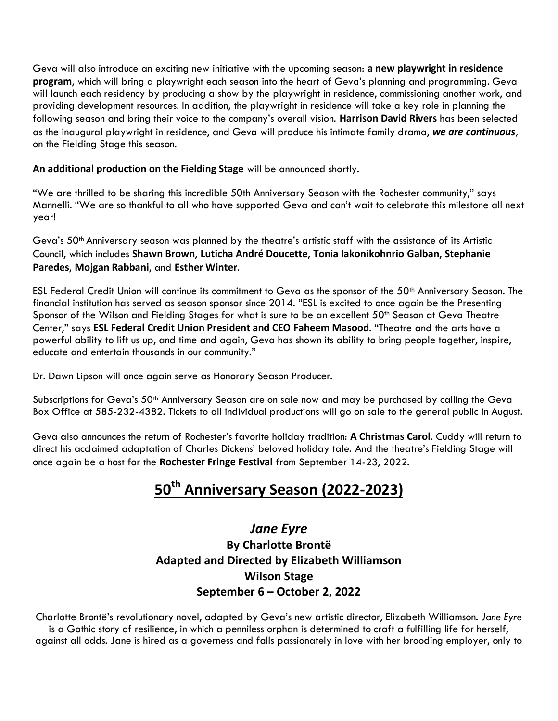Geva will also introduce an exciting new initiative with the upcoming season: **a new playwright in residence program**, which will bring a playwright each season into the heart of Geva's planning and programming. Geva will launch each residency by producing a show by the playwright in residence, commissioning another work, and providing development resources. In addition, the playwright in residence will take a key role in planning the following season and bring their voice to the company's overall vision. **Harrison David Rivers** has been selected as the inaugural playwright in residence, and Geva will produce his intimate family drama, *we are continuous,* on the Fielding Stage this season.

#### **An additional production on the Fielding Stage** will be announced shortly.

"We are thrilled to be sharing this incredible 50th Anniversary Season with the Rochester community," says Mannelli. "We are so thankful to all who have supported Geva and can't wait to celebrate this milestone all next year!

Geva's 50th Anniversary season was planned by the theatre's artistic staff with the assistance of its Artistic Council, which includes **Shawn Brown**, **Luticha André Doucette**, **Tonia Iakonikohnrio Galban**, **Stephanie Paredes**, **Mojgan Rabbani**, and **Esther Winter**.

ESL Federal Credit Union will continue its commitment to Geva as the sponsor of the 50<sup>th</sup> Anniversary Season. The financial institution has served as season sponsor since 2014. "ESL is excited to once again be the Presenting Sponsor of the Wilson and Fielding Stages for what is sure to be an excellent 50<sup>th</sup> Season at Geva Theatre Center," says **ESL Federal Credit Union President and CEO Faheem Masood**. "Theatre and the arts have a powerful ability to lift us up, and time and again, Geva has shown its ability to bring people together, inspire, educate and entertain thousands in our community."

Dr. Dawn Lipson will once again serve as Honorary Season Producer.

Subscriptions for Geva's 50<sup>th</sup> Anniversary Season are on sale now and may be purchased by calling the Geva Box Office at 585-232-4382. Tickets to all individual productions will go on sale to the general public in August.

Geva also announces the return of Rochester's favorite holiday tradition: **A Christmas Carol**. Cuddy will return to direct his acclaimed adaptation of Charles Dickens' beloved holiday tale. And the theatre's Fielding Stage will once again be a host for the **Rochester Fringe Festival** from September 14-23, 2022.

# **50th Anniversary Season (2022-2023)**

#### *Jane Eyre* **By Charlotte Brontë Adapted and Directed by Elizabeth Williamson Wilson Stage September 6 – October 2, 2022**

Charlotte Brontë's revolutionary novel, adapted by Geva's new artistic director, Elizabeth Williamson. *Jane Eyre* is a Gothic story of resilience, in which a penniless orphan is determined to craft a fulfilling life for herself, against all odds. Jane is hired as a governess and falls passionately in love with her brooding employer, only to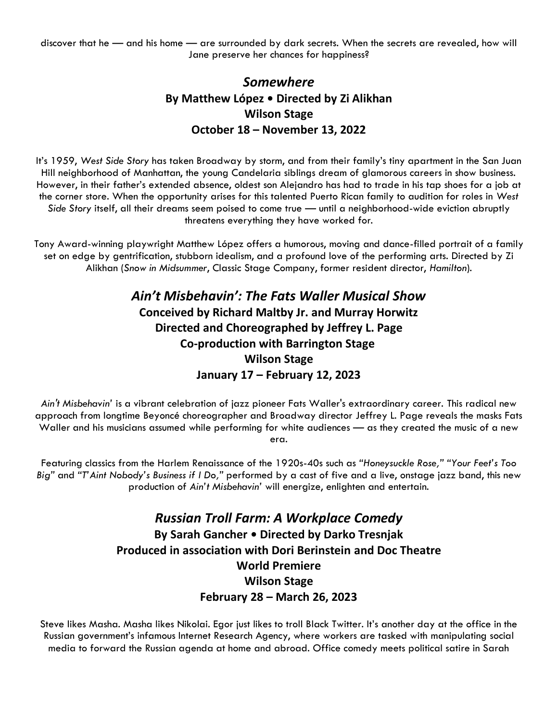discover that he — and his home — are surrounded by dark secrets. When the secrets are revealed, how will Jane preserve her chances for happiness?

## *Somewhere* **By Matthew López • Directed by Zi Alikhan Wilson Stage October 18 – November 13, 2022**

It's 1959, *West Side Story* has taken Broadway by storm, and from their family's tiny apartment in the San Juan Hill neighborhood of Manhattan, the young Candelaria siblings dream of glamorous careers in show business. However, in their father's extended absence, oldest son Alejandro has had to trade in his tap shoes for a job at the corner store. When the opportunity arises for this talented Puerto Rican family to audition for roles in *West Side Story* itself, all their dreams seem poised to come true — until a neighborhood-wide eviction abruptly threatens everything they have worked for.

Tony Award-winning playwright Matthew López offers a humorous, moving and dance-filled portrait of a family set on edge by gentrification, stubborn idealism, and a profound love of the performing arts. Directed by Zi Alikhan (*Snow in Midsummer*, Classic Stage Company, former resident director, *Hamilton*).

> *Ain't Misbehavin': The Fats Waller Musical Show* **Conceived by Richard Maltby Jr. and Murray Horwitz Directed and Choreographed by Jeffrey L. Page Co-production with Barrington Stage Wilson Stage January 17 – February 12, 2023**

*Ain't Misbehavin'* is a vibrant celebration of jazz pioneer Fats Waller's extraordinary career. This radical new approach from longtime Beyoncé choreographer and Broadway director Jeffrey L. Page reveals the masks Fats Waller and his musicians assumed while performing for white audiences — as they created the music of a new era.

Featuring classics from the Harlem Renaissance of the 1920s-40s such as *"Honeysuckle Rose," "Your Feet's Too Big"* and *"T'Aint Nobody's Business if I Do,"* performed by a cast of five and a live, onstage jazz band, this new production of *Ain't Misbehavin'* will energize, enlighten and entertain.

> *Russian Troll Farm: A Workplace Comedy* **By Sarah Gancher • Directed by Darko Tresnjak Produced in association with Dori Berinstein and Doc Theatre World Premiere Wilson Stage February 28 – March 26, 2023**

Steve likes Masha. Masha likes Nikolai. Egor just likes to troll Black Twitter. It's another day at the office in the Russian government's infamous Internet Research Agency, where workers are tasked with manipulating social media to forward the Russian agenda at home and abroad. Office comedy meets political satire in Sarah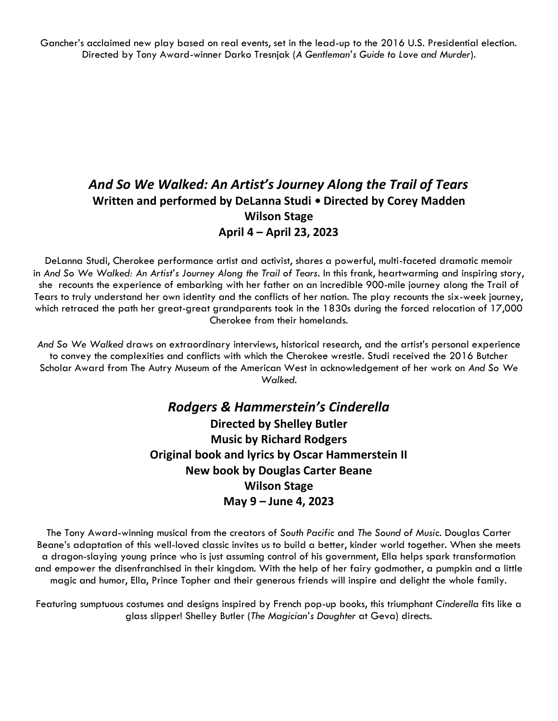Gancher's acclaimed new play based on real events, set in the lead-up to the 2016 U.S. Presidential election. Directed by Tony Award-winner Darko Tresnjak (*A Gentleman's Guide to Love and Murder*).

#### *And So We Walked: An Artist's Journey Along the Trail of Tears* **Written and performed by DeLanna Studi • Directed by Corey Madden Wilson Stage April 4 – April 23, 2023**

DeLanna Studi, Cherokee performance artist and activist, shares a powerful, multi-faceted dramatic memoir in *And So We Walked: An Artist's Journey Along the Trail of Tears*. In this frank, heartwarming and inspiring story, she recounts the experience of embarking with her father on an incredible 900-mile journey along the Trail of Tears to truly understand her own identity and the conflicts of her nation. The play recounts the six-week journey, which retraced the path her great-great grandparents took in the 1830s during the forced relocation of 17,000 Cherokee from their homelands.

*And So We Walked* draws on extraordinary interviews, historical research, and the artist's personal experience to convey the complexities and conflicts with which the Cherokee wrestle. Studi received the 2016 Butcher Scholar Award from The Autry Museum of the American West in acknowledgement of her work on *And So We Walked*.

### *Rodgers & Hammerstein's Cinderella* **Directed by Shelley Butler Music by Richard Rodgers Original book and lyrics by Oscar Hammerstein II New book by Douglas Carter Beane Wilson Stage May 9 – June 4, 2023**

The Tony Award-winning musical from the creators of *South Pacific* and *The Sound of Music*. Douglas Carter Beane's adaptation of this well-loved classic invites us to build a better, kinder world together. When she meets a dragon-slaying young prince who is just assuming control of his government, Ella helps spark transformation and empower the disenfranchised in their kingdom. With the help of her fairy godmother, a pumpkin and a little magic and humor, Ella, Prince Topher and their generous friends will inspire and delight the whole family.

Featuring sumptuous costumes and designs inspired by French pop-up books, this triumphant *Cinderella* fits like a glass slipper! Shelley Butler (*The Magician's Daughter* at Geva) directs.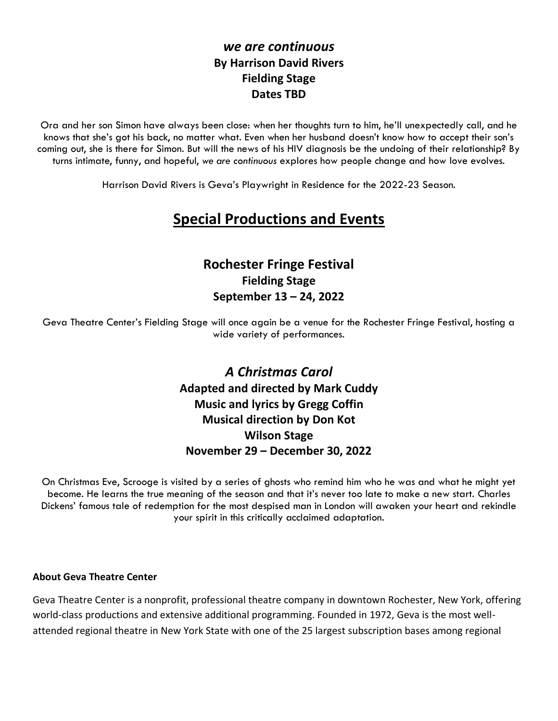#### *we are continuous* **By Harrison David Rivers Fielding Stage Dates TBD**

Ora and her son Simon have always been close: when her thoughts turn to him, he'll unexpectedly call, and he knows that she's got his back, no matter what. Even when her husband doesn't know how to accept their son's coming out, she is there for Simon. But will the news of his HIV diagnosis be the undoing of their relationship? By turns intimate, funny, and hopeful, *we are continuous* explores how people change and how love evolves.

Harrison David Rivers is Geva's Playwright in Residence for the 2022-23 Season.

## **Special Productions and Events**

#### **Rochester Fringe Festival Fielding Stage September 13 – 24, 2022**

Geva Theatre Center's Fielding Stage will once again be a venue for the Rochester Fringe Festival, hosting a wide variety of performances.

> *A Christmas Carol* **Adapted and directed by Mark Cuddy Music and lyrics by Gregg Coffin Musical direction by Don Kot Wilson Stage November 29 – December 30, 2022**

On Christmas Eve, Scrooge is visited by a series of ghosts who remind him who he was and what he might yet become. He learns the true meaning of the season and that it's never too late to make a new start. Charles Dickens' famous tale of redemption for the most despised man in London will awaken your heart and rekindle your spirit in this critically acclaimed adaptation.

#### **About Geva Theatre Center**

Geva Theatre Center is a nonprofit, professional theatre company in downtown Rochester, New York, offering world-class productions and extensive additional programming. Founded in 1972, Geva is the most wellattended regional theatre in New York State with one of the 25 largest subscription bases among regional